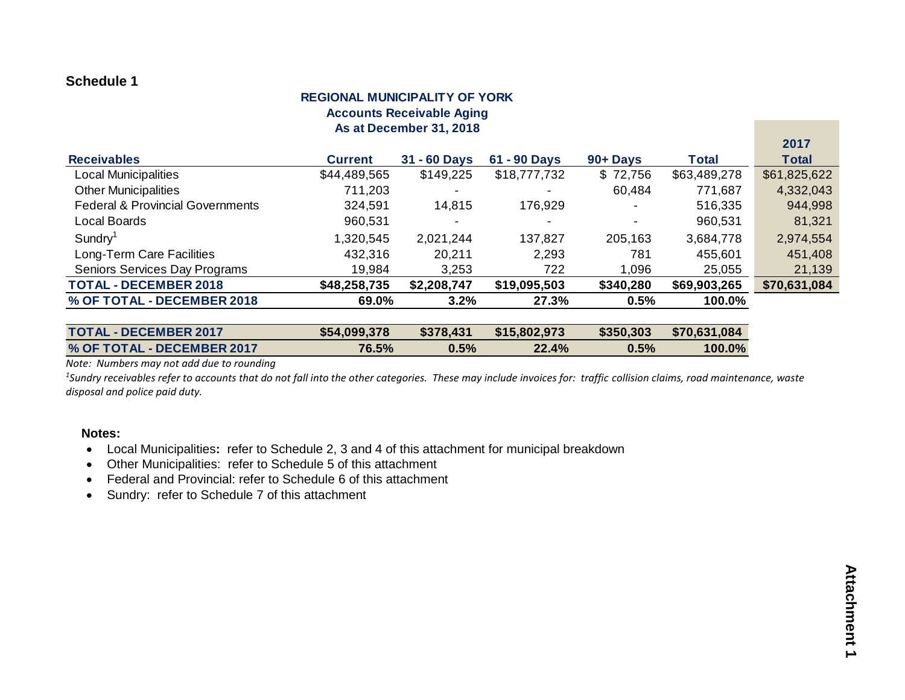### **REGIONAL MUNICIPALITY OF YORK Accounts Receivable Aging As at December 31, 2018**

|                                             |                |              |                |           |              | $\sim$ $\sim$ $\sim$ |
|---------------------------------------------|----------------|--------------|----------------|-----------|--------------|----------------------|
| <b>Receivables</b>                          | <b>Current</b> | 31 - 60 Days | 61 - 90 Days   | 90+ Days  | Total        | <b>Total</b>         |
| <b>Local Municipalities</b>                 | \$44,489,565   | \$149,225    | \$18,777,732   | \$72,756  | \$63,489,278 | \$61,825,622         |
| <b>Other Municipalities</b>                 | 711,203        |              |                | 60,484    | 771,687      | 4,332,043            |
| <b>Federal &amp; Provincial Governments</b> | 324,591        | 14,815       | 176,929        |           | 516,335      | 944,998              |
| Local Boards                                | 960,531        |              | $\blacksquare$ |           | 960,531      | 81,321               |
| $S$ undry <sup>1</sup>                      | 1,320,545      | 2,021,244    | 137,827        | 205,163   | 3,684,778    | 2,974,554            |
| Long-Term Care Facilities                   | 432,316        | 20,211       | 2,293          | 781       | 455,601      | 451,408              |
| Seniors Services Day Programs               | 19,984         | 3,253        | 722            | 1,096     | 25,055       | 21,139               |
| <b>TOTAL - DECEMBER 2018</b>                | \$48,258,735   | \$2,208,747  | \$19,095,503   | \$340,280 | \$69,903,265 | \$70,631,084         |
| % OF TOTAL - DECEMBER 2018                  | 69.0%          | 3.2%         | 27.3%          | 0.5%      | 100.0%       |                      |
|                                             |                |              |                |           |              |                      |

| <b>TOTAL - DECEMBER 2017</b> | \$54,099,378 | \$378,431 | \$15,802,973 |         | $$350,303$ $$70,631,084$ |
|------------------------------|--------------|-----------|--------------|---------|--------------------------|
| % OF TOTAL - DECEMBER 2017   | 76.5%        | 0.5%      | 22.4%        | $0.5\%$ | $100.0\%$                |

*Note: Numbers may not add due to rounding*

<sup>1</sup>Sundry receivables refer to accounts that do not fall into the other categories. These may include invoices for: traffic collision claims, road maintenance, waste *disposal and police paid duty.*

#### **Notes:**

- Local Municipalities**:** refer to Schedule 2, 3 and 4 of this attachment for municipal breakdown
- Other Municipalities: refer to Schedule 5 of this attachment
- Federal and Provincial: refer to Schedule 6 of this attachment
- Sundry: refer to Schedule 7 of this attachment

**2017**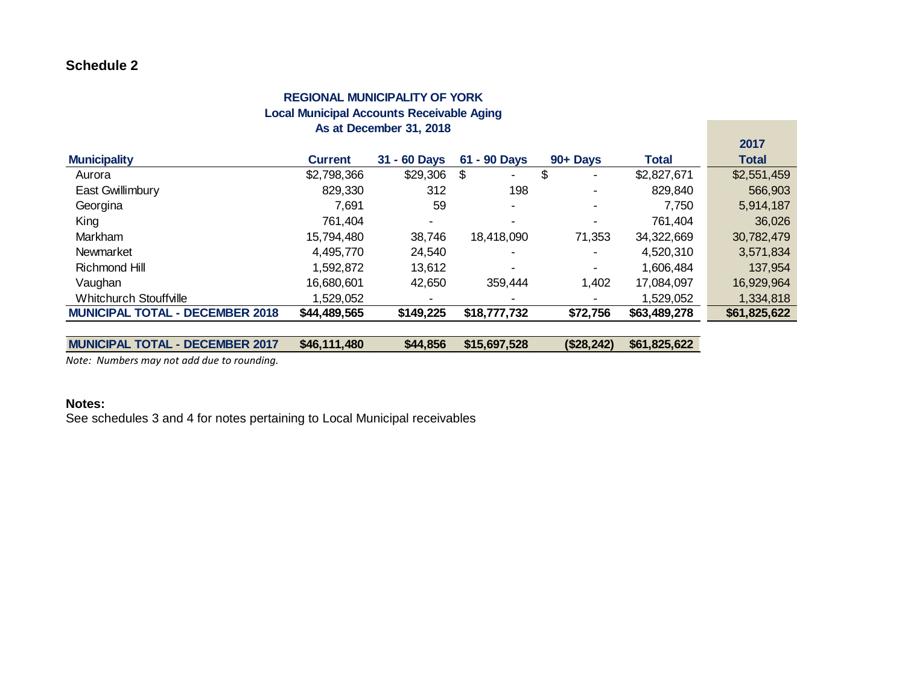### **REGIONAL MUNICIPALITY OF YORK Local Municipal Accounts Receivable Aging As at December 31, 2018**

|                                        |                |              |                      |                |              | 2017         |
|----------------------------------------|----------------|--------------|----------------------|----------------|--------------|--------------|
| <b>Municipality</b>                    | <b>Current</b> | 31 - 60 Days | 61 - 90 Days         | 90+ Days       | <b>Total</b> | <b>Total</b> |
| Aurora                                 | \$2,798,366    | \$29,306     | \$<br>$\blacksquare$ | \$             | \$2,827,671  | \$2,551,459  |
| <b>East Gwillimbury</b>                | 829,330        | 312          | 198                  |                | 829,840      | 566,903      |
| Georgina                               | 7,691          | 59           | $\blacksquare$       | $\overline{a}$ | 7,750        | 5,914,187    |
| King                                   | 761,404        |              |                      | $\blacksquare$ | 761,404      | 36,026       |
| Markham                                | 15,794,480     | 38,746       | 18,418,090           | 71,353         | 34,322,669   | 30,782,479   |
| <b>Newmarket</b>                       | 4,495,770      | 24,540       |                      |                | 4,520,310    | 3,571,834    |
| Richmond Hill                          | 1,592,872      | 13,612       |                      | $\blacksquare$ | 1,606,484    | 137,954      |
| Vaughan                                | 16,680,601     | 42,650       | 359,444              | 1,402          | 17,084,097   | 16,929,964   |
| <b>Whitchurch Stouffville</b>          | 1,529,052      |              |                      |                | 1,529,052    | 1,334,818    |
| <b>MUNICIPAL TOTAL - DECEMBER 2018</b> | \$44,489,565   | \$149,225    | \$18,777,732         | \$72,756       | \$63,489,278 | \$61,825,622 |
|                                        |                |              |                      |                |              |              |
| <b>MUNICIPAL TOTAL - DECEMBER 2017</b> | \$46,111,480   | \$44,856     | \$15,697,528         | (\$28, 242)    | \$61,825,622 |              |

*Note: Numbers may not add due to rounding.*

#### **Notes:**

See schedules 3 and 4 for notes pertaining to Local Municipal receivables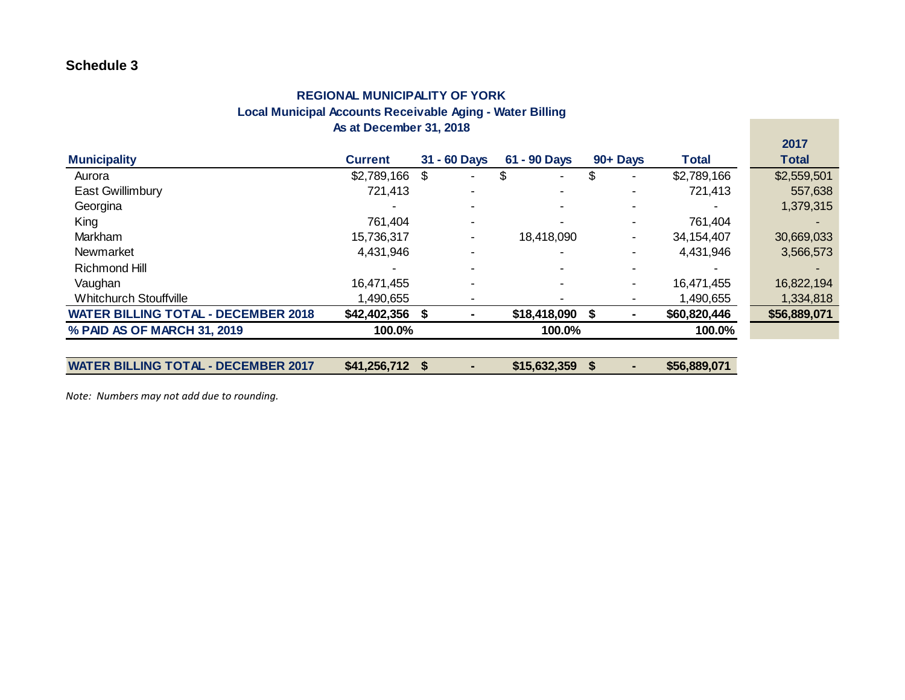### **REGIONAL MUNICIPALITY OF YORK Local Municipal Accounts Receivable Aging - Water Billing As at December 31, 2018**

|                                            |                  |                          |                      |                |              | <b>2017</b>  |
|--------------------------------------------|------------------|--------------------------|----------------------|----------------|--------------|--------------|
| <b>Municipality</b>                        | <b>Current</b>   | 31 - 60 Days             | 61 - 90 Days         | 90+ Days       | <b>Total</b> | <b>Total</b> |
| Aurora                                     | $$2,789,166$ \,  | $\blacksquare$           | \$<br>$\blacksquare$ |                | \$2,789,166  | \$2,559,501  |
| East Gwillimbury                           | 721,413          |                          |                      |                | 721,413      | 557,638      |
| Georgina                                   |                  | $\overline{\phantom{0}}$ |                      |                |              | 1,379,315    |
| King                                       | 761,404          | $\blacksquare$           |                      |                | 761,404      |              |
| Markham                                    | 15,736,317       | $\blacksquare$           | 18,418,090           | $\blacksquare$ | 34,154,407   | 30,669,033   |
| <b>Newmarket</b>                           | 4,431,946        |                          |                      |                | 4,431,946    | 3,566,573    |
| <b>Richmond Hill</b>                       |                  |                          |                      |                |              |              |
| Vaughan                                    | 16,471,455       |                          |                      |                | 16,471,455   | 16,822,194   |
| <b>Whitchurch Stouffville</b>              | 1,490,655        |                          |                      |                | 1,490,655    | 1,334,818    |
| <b>WATER BILLING TOTAL - DECEMBER 2018</b> | $$42,402,356$ \$ |                          | \$18,418,090         |                | \$60,820,446 | \$56,889,071 |
| % PAID AS OF MARCH 31, 2019                | 100.0%           |                          | 100.0%               |                | 100.0%       |              |
|                                            |                  |                          |                      |                |              |              |
| <b>WATER BILLING TOTAL - DECEMBER 2017</b> | $$41,256,712$ \$ |                          | \$15,632,359         |                | \$56,889,071 |              |

**2017**

*Note: Numbers may not add due to rounding.*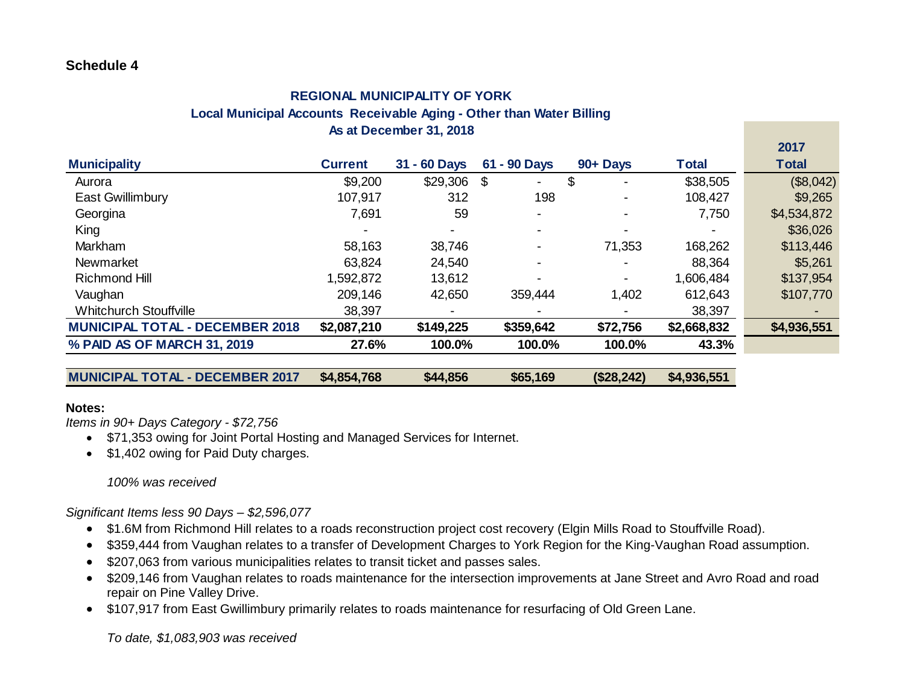## **As at December 31, 2018 REGIONAL MUNICIPALITY OF YORK Local Municipal Accounts Receivable Aging - Other than Water Billing**

|                                                                                                                                                                                                                                                                                                                                                                                                                                                                                                                                                                                                                                                                                                                    |                |              |                           |            |              | 2017         |
|--------------------------------------------------------------------------------------------------------------------------------------------------------------------------------------------------------------------------------------------------------------------------------------------------------------------------------------------------------------------------------------------------------------------------------------------------------------------------------------------------------------------------------------------------------------------------------------------------------------------------------------------------------------------------------------------------------------------|----------------|--------------|---------------------------|------------|--------------|--------------|
| <b>Municipality</b>                                                                                                                                                                                                                                                                                                                                                                                                                                                                                                                                                                                                                                                                                                | <b>Current</b> | 31 - 60 Days | 61 - 90 Days              | 90+ Days   | <b>Total</b> | <b>Total</b> |
| Aurora                                                                                                                                                                                                                                                                                                                                                                                                                                                                                                                                                                                                                                                                                                             | \$9,200        | \$29,306     | $\boldsymbol{\mathsf{S}}$ | \$         | \$38,505     | (\$8,042)    |
| East Gwillimbury                                                                                                                                                                                                                                                                                                                                                                                                                                                                                                                                                                                                                                                                                                   | 107,917        | 312          | 198                       |            | 108,427      | \$9,265      |
| Georgina                                                                                                                                                                                                                                                                                                                                                                                                                                                                                                                                                                                                                                                                                                           | 7,691          | 59           |                           |            | 7,750        | \$4,534,872  |
| King                                                                                                                                                                                                                                                                                                                                                                                                                                                                                                                                                                                                                                                                                                               |                |              |                           |            |              | \$36,026     |
| Markham                                                                                                                                                                                                                                                                                                                                                                                                                                                                                                                                                                                                                                                                                                            | 58,163         | 38,746       |                           | 71,353     | 168,262      | \$113,446    |
| Newmarket                                                                                                                                                                                                                                                                                                                                                                                                                                                                                                                                                                                                                                                                                                          | 63,824         | 24,540       |                           |            | 88,364       | \$5,261      |
| <b>Richmond Hill</b>                                                                                                                                                                                                                                                                                                                                                                                                                                                                                                                                                                                                                                                                                               | 1,592,872      | 13,612       |                           |            | 1,606,484    | \$137,954    |
| Vaughan                                                                                                                                                                                                                                                                                                                                                                                                                                                                                                                                                                                                                                                                                                            | 209,146        | 42,650       | 359,444                   | 1,402      | 612,643      | \$107,770    |
| <b>Whitchurch Stouffville</b>                                                                                                                                                                                                                                                                                                                                                                                                                                                                                                                                                                                                                                                                                      | 38,397         |              |                           |            | 38,397       |              |
| <b>MUNICIPAL TOTAL - DECEMBER 2018</b>                                                                                                                                                                                                                                                                                                                                                                                                                                                                                                                                                                                                                                                                             | \$2,087,210    | \$149,225    | \$359,642                 | \$72,756   | \$2,668,832  | \$4,936,551  |
| % PAID AS OF MARCH 31, 2019                                                                                                                                                                                                                                                                                                                                                                                                                                                                                                                                                                                                                                                                                        | 27.6%          | 100.0%       | 100.0%                    | 100.0%     | 43.3%        |              |
|                                                                                                                                                                                                                                                                                                                                                                                                                                                                                                                                                                                                                                                                                                                    |                |              |                           |            |              |              |
| <b>MUNICIPAL TOTAL - DECEMBER 2017</b>                                                                                                                                                                                                                                                                                                                                                                                                                                                                                                                                                                                                                                                                             | \$4,854,768    | \$44,856     | \$65,169                  | (\$28,242) | \$4,936,551  |              |
| Notes:<br>Items in 90+ Days Category - \$72,756<br>\$71,353 owing for Joint Portal Hosting and Managed Services for Internet.<br>\$1,402 owing for Paid Duty charges.<br>100% was received                                                                                                                                                                                                                                                                                                                                                                                                                                                                                                                         |                |              |                           |            |              |              |
| Significant Items less 90 Days - \$2,596,077<br>\$1.6M from Richmond Hill relates to a roads reconstruction project cost recovery (Elgin Mills Road to Stouffville Road).<br>$\bullet$<br>\$359,444 from Vaughan relates to a transfer of Development Charges to York Region for the King-Vaughan Road assumption.<br>\$207,063 from various municipalities relates to transit ticket and passes sales.<br>٠<br>\$209,146 from Vaughan relates to roads maintenance for the intersection improvements at Jane Street and Avro Road and road<br>$\bullet$<br>repair on Pine Valley Drive.<br>\$107,917 from East Gwillimbury primarily relates to roads maintenance for resurfacing of Old Green Lane.<br>$\bullet$ |                |              |                           |            |              |              |
| To date, \$1,083,903 was received                                                                                                                                                                                                                                                                                                                                                                                                                                                                                                                                                                                                                                                                                  |                |              |                           |            |              |              |

### **Notes:**

- \$71,353 owing for Joint Portal Hosting and Managed Services for Internet.
- \$1,402 owing for Paid Duty charges.

### *100% was received*

- \$1.6M from Richmond Hill relates to a roads reconstruction project cost recovery (Elgin Mills Road to Stouffville Road).
- \$359,444 from Vaughan relates to a transfer of Development Charges to York Region for the King-Vaughan Road assumption.
- \$207,063 from various municipalities relates to transit ticket and passes sales.
- \$209,146 from Vaughan relates to roads maintenance for the intersection improvements at Jane Street and Avro Road and road repair on Pine Valley Drive.
- \$107,917 from East Gwillimbury primarily relates to roads maintenance for resurfacing of Old Green Lane.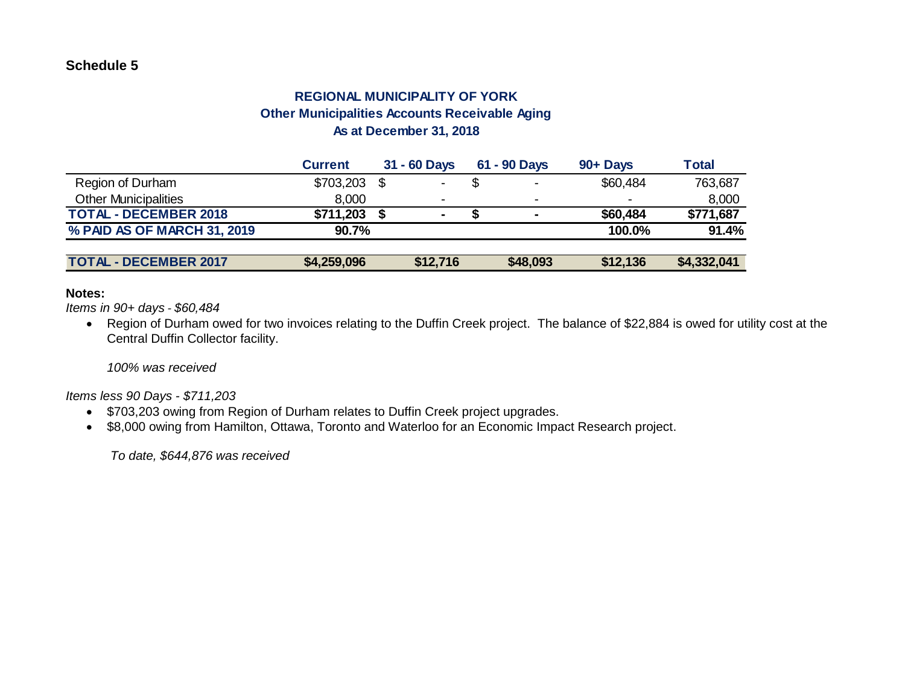# **REGIONAL MUNICIPALITY OF YORK Other Municipalities Accounts Receivable Aging As at December 31, 2018**

|                              | <b>Current</b> | 31 - 60 Days             | 61 - 90 Days   | 90+ Days | <b>Total</b> |
|------------------------------|----------------|--------------------------|----------------|----------|--------------|
| Region of Durham             | \$703,203      | ۰                        | $\blacksquare$ | \$60,484 | 763,687      |
| <b>Other Municipalities</b>  | 8,000          | $\overline{\phantom{a}}$ |                |          | 8,000        |
| <b>TOTAL - DECEMBER 2018</b> | \$711,203      | $\blacksquare$           | $\blacksquare$ | \$60,484 | \$771,687    |
| % PAID AS OF MARCH 31, 2019  | 90.7%          |                          |                | 100.0%   | 91.4%        |
|                              |                |                          |                |          |              |
| <b>TOTAL - DECEMBER 2017</b> | \$4,259,096    | \$12,716                 | \$48,093       | \$12,136 | \$4,332,041  |

#### **Notes:**

*Items in 90+ days - \$60,484*

• Region of Durham owed for two invoices relating to the Duffin Creek project. The balance of \$22,884 is owed for utility cost at the Central Duffin Collector facility.

*100% was received*

*Items less 90 Days - \$711,203*

- \$703,203 owing from Region of Durham relates to Duffin Creek project upgrades.
- \$8,000 owing from Hamilton, Ottawa, Toronto and Waterloo for an Economic Impact Research project.

*To date, \$644,876 was received*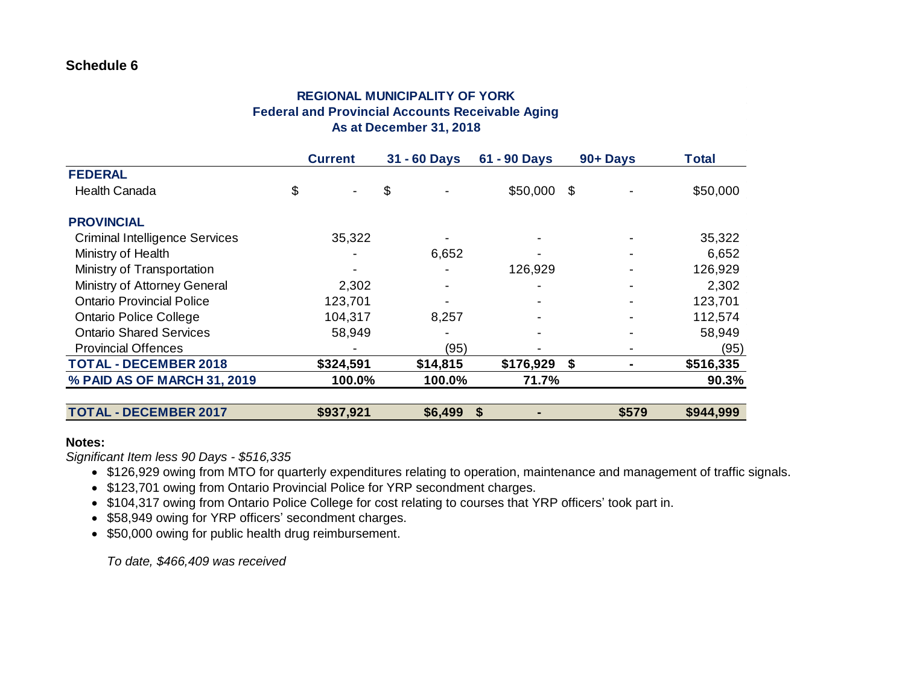### **As at December 31, 2018 REGIONAL MUNICIPALITY OF YORK Federal and Provincial Accounts Receivable Aging**

|                                       | <b>Current</b> | 31 - 60 Days | 61 - 90 Days | 90+Days | <b>Total</b> |
|---------------------------------------|----------------|--------------|--------------|---------|--------------|
| <b>FEDERAL</b>                        |                |              |              |         |              |
| <b>Health Canada</b>                  | \$             | \$           | \$50,000     | \$      | \$50,000     |
| <b>PROVINCIAL</b>                     |                |              |              |         |              |
| <b>Criminal Intelligence Services</b> | 35,322         |              |              |         | 35,322       |
| Ministry of Health                    |                | 6,652        |              |         | 6,652        |
| Ministry of Transportation            |                |              | 126,929      |         | 126,929      |
| Ministry of Attorney General          | 2,302          |              |              |         | 2,302        |
| <b>Ontario Provincial Police</b>      | 123,701        |              |              |         | 123,701      |
| <b>Ontario Police College</b>         | 104,317        | 8,257        |              |         | 112,574      |
| <b>Ontario Shared Services</b>        | 58,949         |              |              |         | 58,949       |
| <b>Provincial Offences</b>            |                | (95)         |              |         | (95)         |
| <b>TOTAL - DECEMBER 2018</b>          | \$324,591      | \$14,815     | \$176,929    | \$      | \$516,335    |
| % PAID AS OF MARCH 31, 2019           | 100.0%         | 100.0%       | 71.7%        |         | 90.3%        |
| <b>TOTAL - DECEMBER 2017</b>          | \$937,921      | \$6,499      | \$           | \$579   | \$944,999    |

#### **Notes:**

*Significant Item less 90 Days - \$516,335*

- \$126,929 owing from MTO for quarterly expenditures relating to operation, maintenance and management of traffic signals.
- \$123,701 owing from Ontario Provincial Police for YRP secondment charges.
- \$104,317 owing from Ontario Police College for cost relating to courses that YRP officers' took part in.
- \$58,949 owing for YRP officers' secondment charges.
- \$50,000 owing for public health drug reimbursement.

*To date, \$466,409 was received*